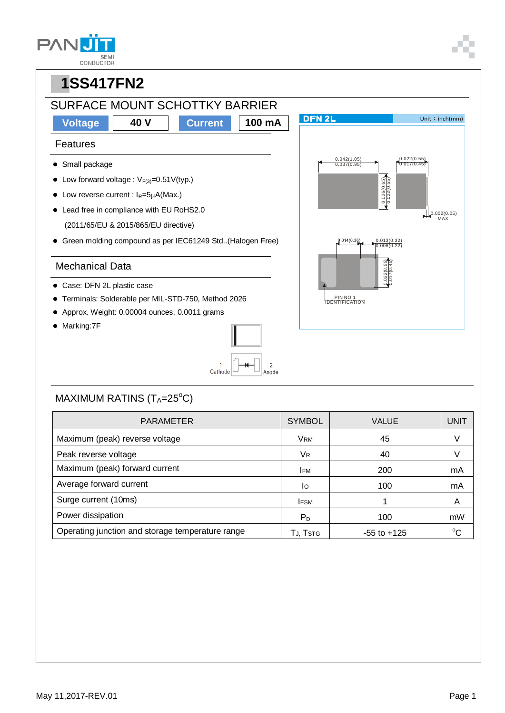| <b>SEMI</b><br>CONDUCTOR |
|--------------------------|



### MAXIMUM RATINS  $(T_A=25^{\circ}C)$

| <b>PARAMETER</b>                                 | <b>SYMBOL</b>  | <b>VALUE</b>    | <b>UNIT</b> |
|--------------------------------------------------|----------------|-----------------|-------------|
| Maximum (peak) reverse voltage                   | <b>VRM</b>     | 45              | V           |
| Peak reverse voltage                             | V <sub>R</sub> | 40              |             |
| Maximum (peak) forward current                   | <b>IFM</b>     | 200             | mA          |
| Average forward current                          | lo             | 100             | mA          |
| Surge current (10ms)                             | <b>IFSM</b>    |                 | A           |
| Power dissipation                                | $P_D$          | 100             | mW          |
| Operating junction and storage temperature range | TJ, Tstrg      | $-55$ to $+125$ | $\sim$      |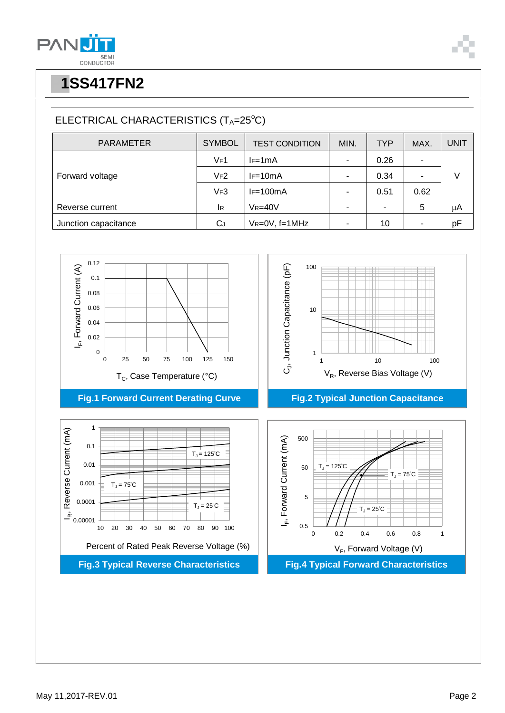

# **P1SS417FN2**

## ELECTRICAL CHARACTERISTICS (TA=25°C)

| <b>PARAMETER</b>     | <b>SYMBOL</b> | <b>TEST CONDITION</b> | MIN. | <b>TYP</b> | MAX. | UNIT |
|----------------------|---------------|-----------------------|------|------------|------|------|
| Forward voltage      | VF1           | $I = 1mA$             | ٠    | 0.26       |      |      |
|                      | VF2           | $I = 10mA$            | ٠    | 0.34       |      |      |
|                      | VF3           | $I = 100mA$           | ٠    | 0.51       | 0.62 |      |
| Reverse current      | lR.           | $V_R = 40V$           | ٠    | ۰          | 5    | μA   |
| Junction capacitance | $C_J$         | $V_R = 0V$ , f=1MHz   | ٠    | 10         | ۰    | pF   |

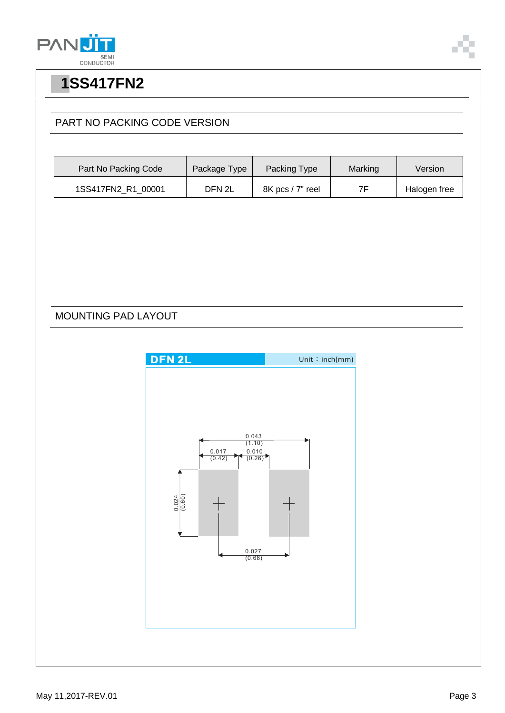



## **P1SS417FN2**

#### PART NO PACKING CODE VERSION

| Part No Packing Code | Package Type | Packing Type     | Marking | Version      |
|----------------------|--------------|------------------|---------|--------------|
| 1SS417FN2_R1_00001   | DFN 2L       | 8K pcs / 7" reel | 7F      | Halogen free |

MOUNTING PAD LAYOUT